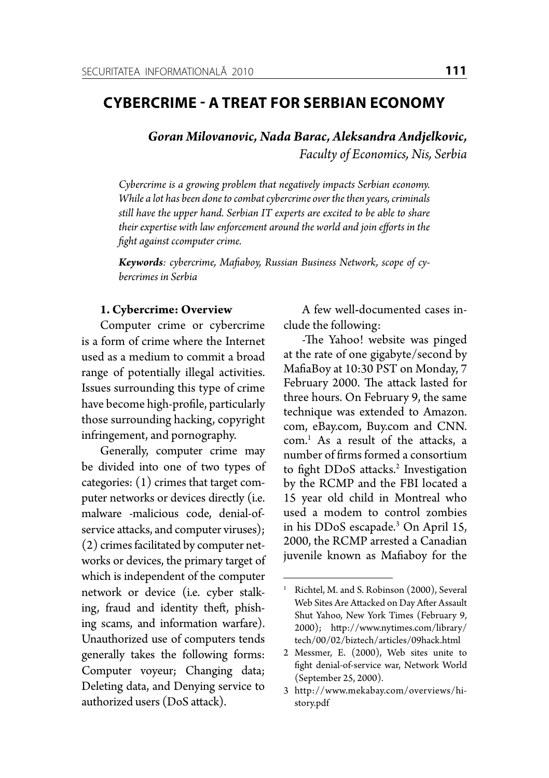## **Cybercrime - A Treat for SERBIAN ECONOMY**

*Goran Milovanovic, Nada Barac, Aleksandra Andjelkovic, Faculty of Economics, Nis, Serbia*

*Cybercrime is a growing problem that negatively impacts Serbian economy. While a lot has been done to combat cybercrime over the then years, criminals still have the upper hand. Serbian IT experts are excited to be able to share their expertise with law enforcement around the world and join efforts in the fight against ccomputer crime.*

*Keywords: cybercrime, Mafiaboy, Russian Business Network, scope of cybercrimes in Serbia* 

## **1. Cybercrime: Overview**

Computer crime or cybercrime is a form of crime where the Internet used as a medium to commit a broad range of potentially illegal activities. Issues surrounding this type of crime have become high-profile, particularly those surrounding hacking, copyright infringement, and pornography.

Generally, computer crime may be divided into one of two types of categories: (1) crimes that target computer networks or devices directly (i.e. malware -malicious code, denial-ofservice attacks, and computer viruses); (2) crimes facilitated by computer networks or devices, the primary target of which is independent of the computer network or device (i.e. cyber stalking, fraud and identity theft, phishing scams, and information warfare). Unauthorized use of computers tends generally takes the following forms: Computer voyeur; Changing data; Deleting data, and Denying service to authorized users (DoS attack).

A few well**-**documented cases include the following:

-The Yahoo! website was pinged at the rate of one gigabyte/second by MafiaBoy at 10:30 PST on Monday, 7 February 2000. The attack lasted for three hours. On February 9, the same technique was extended to Amazon. com, eBay.com, Buy.com and CNN. com.1 As a result of the attacks, a number of firms formed a consortium to fight DDoS attacks.<sup>2</sup> Investigation by the RCMP and the FBI located a 15 year old child in Montreal who used a modem to control zombies in his DDoS escapade.3 On April 15, 2000, the RCMP arrested a Canadian juvenile known as Mafiaboy for the

<sup>&</sup>lt;sup>1</sup> Richtel, M. and S. Robinson (2000), Several Web Sites Are Attacked on Day After Assault Shut Yahoo, New York Times (February 9, 2000); http://www.nytimes.com/library/ tech/00/02/biztech/articles/09hack.html

<sup>2</sup> Messmer, E. (2000), Web sites unite to fight denial-of-service war, Network World (September 25, 2000).

<sup>3</sup> http://www.mekabay.com/overviews/history.pdf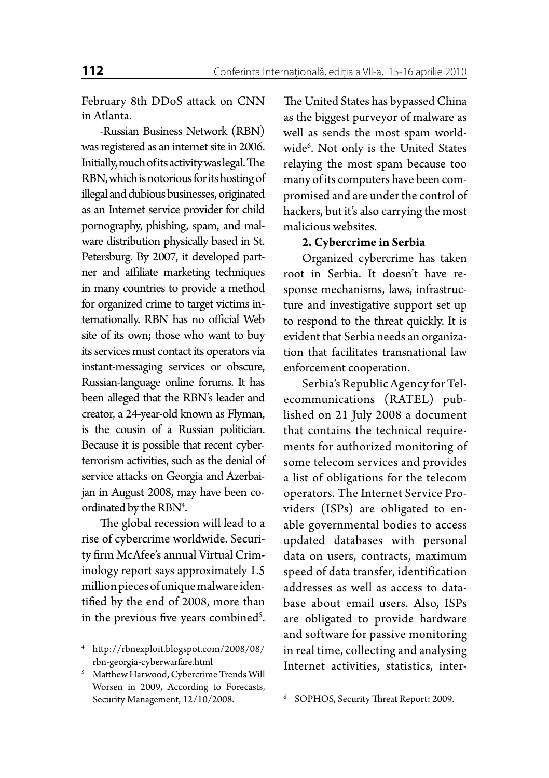February 8th DDoS attack on CNN in Atlanta.

-Russian Business Network (RBN) was registered as an internet site in 2006. Initially, much of its activity was legal. The RBN, which is notorious for its hosting of illegal and dubious businesses, originated as an Internet service provider for child pornography, phishing, spam, and malware distribution physically based in St. Petersburg. By 2007, it developed partner and affiliate marketing techniques in many countries to provide a method for organized crime to target victims internationally. RBN has no official Web site of its own; those who want to buy its services must contact its operators via instant-messaging services or obscure, Russian-language online forums. It has been alleged that the RBN's leader and creator, a 24-year-old known as Flyman, is the cousin of a Russian politician. Because it is possible that recent cyberterrorism activities, such as the denial of service attacks on Georgia and Azerbaijan in August 2008, may have been coordinated by the RBN<sup>4</sup>.

The global recession will lead to a rise of cybercrime worldwide. Security firm McAfee's annual Virtual Criminology report says approximately 1.5 million pieces of unique malware identified by the end of 2008, more than in the previous five years combined<sup>5</sup>. The United States has bypassed China as the biggest purveyor of malware as well as sends the most spam worldwide6 . Not only is the United States relaying the most spam because too many of its computers have been compromised and are under the control of hackers, but it's also carrying the most malicious websites.

## **2. Cybercrime in Serbia**

Organized cybercrime has taken root in Serbia. It doesn't have response mechanisms, laws, infrastructure and investigative support set up to respond to the threat quickly. It is evident that Serbia needs an organization that facilitates transnational law enforcement cooperation.

Serbia's Republic Agency for Telecommunications (RATEL) published on 21 July 2008 a document that contains the technical requirements for authorized monitoring of some telecom services and provides a list of obligations for the telecom operators. The Internet Service Providers (ISPs) are obligated to enable governmental bodies to access updated databases with personal data on users, contracts, maximum speed of data transfer, identification addresses as well as access to database about email users. Also, ISPs are obligated to provide hardware and software for passive monitoring in real time, collecting and analysing Internet activities, statistics, inter-

<sup>4</sup> http://rbnexploit.blogspot.com/2008/08/ rbn-georgia-cyberwarfare.html

<sup>5</sup> Matthew Harwood, Cybercrime Trends Will Worsen in 2009, According to Forecasts, Security Management, 12/10/2008. <sup>6</sup> SOPHOS, Security Threat Report: 2009.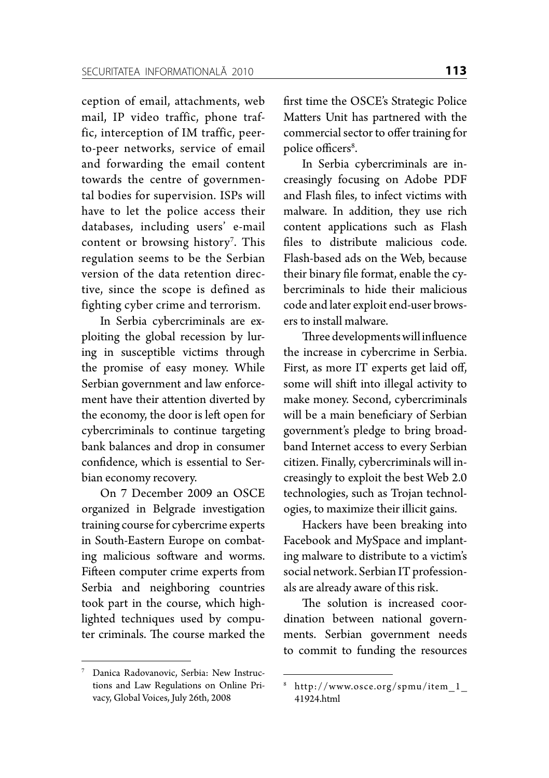ception of email, attachments, web mail, IP video traffic, phone traffic, interception of IM traffic, peerto-peer networks, service of email and forwarding the email content towards the centre of governmental bodies for supervision. ISPs will have to let the police access their databases, including users' e-mail content or browsing history<sup>7</sup>. This regulation seems to be the Serbian version of the data retention directive, since the scope is defined as fighting cyber crime and terrorism.

In Serbia cybercriminals are exploiting the global recession by luring in susceptible victims through the promise of easy money. While Serbian government and law enforcement have their attention diverted by the economy, the door is left open for cybercriminals to continue targeting bank balances and drop in consumer confidence, which is essential to Serbian economy recovery.

On 7 December 2009 an OSCE organized in Belgrade investigation training course for cybercrime experts in South-Eastern Europe on combating malicious software and worms. Fifteen computer crime experts from Serbia and neighboring countries took part in the course, which highlighted techniques used by computer criminals. The course marked the

<sup>7</sup> Danica Radovanovic, Serbia: New Instructions and Law Regulations on Online Privacy, Global Voices, July 26th, 2008

first time the OSCE's Strategic Police Matters Unit has partnered with the commercial sector to offer training for police officers<sup>8</sup>.

In Serbia cybercriminals are increasingly focusing on Adobe PDF and Flash files, to infect victims with malware. In addition, they use rich content applications such as Flash files to distribute malicious code. Flash-based ads on the Web, because their binary file format, enable the cybercriminals to hide their malicious code and later exploit end-user browsers to install malware.

Three developments will influence the increase in cybercrime in Serbia. First, as more IT experts get laid off, some will shift into illegal activity to make money. Second, cybercriminals will be a main beneficiary of Serbian government's pledge to bring broadband Internet access to every Serbian citizen. Finally, cybercriminals will increasingly to exploit the best Web 2.0 technologies, such as Trojan technologies, to maximize their illicit gains.

Hackers have been breaking into Facebook and MySpace and implanting malware to distribute to a victim's social network. Serbian IT professionals are already aware of this risk.

The solution is increased coordination between national governments. Serbian government needs to commit to funding the resources

<sup>8</sup> http://www.osce.org/spmu/item\_1\_ 41924.html